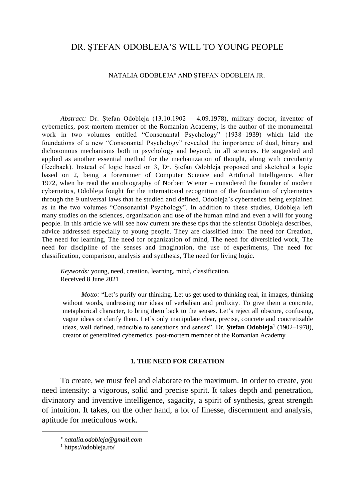# DR. ȘTEFAN ODOBLEJA'S WILL TO YOUNG PEOPLE

### NATALIA ODOBLEJA\* AND ȘTEFAN ODOBLEJA JR.

*Abstract:* Dr. Ștefan Odobleja (13.10.1902 – 4.09.1978), military doctor, inventor of cybernetics, post-mortem member of the Romanian Academy, is the author of the monumental work in two volumes entitled "Consonantal Psychology" (1938–1939) which laid the foundations of a new "Consonantal Psychology" revealed the importance of dual, binary and dichotomous mechanisms both in psychology and beyond, in all sciences. He suggested and applied as another essential method for the mechanization of thought, along with circularity (feedback). Instead of logic based on 3, Dr. Ștefan Odobleja proposed and sketched a logic based on 2, being a forerunner of Computer Science and Artificial Intelligence. After 1972, when he read the autobiography of Norbert Wiener – considered the founder of modern cybernetics, Odobleja fought for the international recognition of the foundation of cybernetics through the 9 universal laws that he studied and defined, Odobleja's cybernetics being explained as in the two volumes "Consonantal Psychology". In addition to these studies, Odobleja left many studies on the sciences, organization and use of the human mind and even a will for young people. In this article we will see how current are these tips that the scientist Odobleja describes, advice addressed especially to young people. They are classified into: The need for Creation, The need for learning, The need for organization of mind, The need for diversified work, The need for discipline of the senses and imagination, the use of experiments, The need for classification, comparison, analysis and synthesis, The need for living logic.

*Keywords:* young, need, creation, learning, mind, classification. Received 8 June 2021

*Motto:* "Let's purify our thinking. Let us get used to thinking real, in images, thinking without words, undressing our ideas of verbalism and prolixity. To give them a concrete, metaphorical character, to bring them back to the senses. Let's reject all obscure, confusing, vague ideas or clarify them. Let's only manipulate clear, precise, concrete and concretizable ideas, well defined, reducible to sensations and senses". Dr. **Ștefan Odobleja**<sup>1</sup> (1902–1978), creator of generalized cybernetics, post-mortem member of the Romanian Academy

## **1. THE NEED FOR CREATION**

To create, we must feel and elaborate to the maximum. In order to create, you need intensity: a vigorous, solid and precise spirit. It takes depth and penetration, divinatory and inventive intelligence, sagacity, a spirit of synthesis, great strength of intuition. It takes, on the other hand, a lot of finesse, discernment and analysis, aptitude for meticulous work.

*natalia.odobleja@gmail.com*

<sup>1</sup> https://odobleja.ro/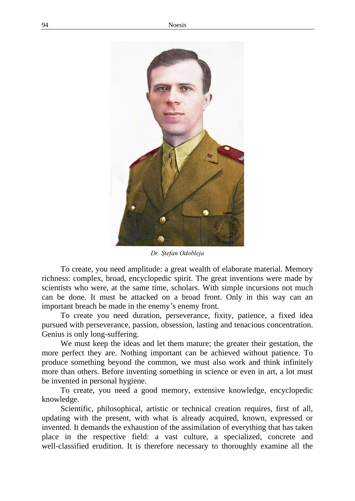

*Dr. Ștefan Odobleja*

To create, you need amplitude: a great wealth of elaborate material. Memory richness: complex, broad, encyclopedic spirit. The great inventions were made by scientists who were, at the same time, scholars. With simple incursions not much can be done. It must be attacked on a broad front. Only in this way can an important breach be made in the enemy's enemy front.

To create you need duration, perseverance, fixity, patience, a fixed idea pursued with perseverance, passion, obsession, lasting and tenacious concentration. Genius is only long-suffering.

We must keep the ideas and let them mature; the greater their gestation, the more perfect they are. Nothing important can be achieved without patience. To produce something beyond the common, we must also work and think infinitely more than others. Before inventing something in science or even in art, a lot must be invented in personal hygiene.

To create, you need a good memory, extensive knowledge, encyclopedic knowledge.

Scientific, philosophical, artistic or technical creation requires, first of all, updating with the present, with what is already acquired, known, expressed or invented. It demands the exhaustion of the assimilation of everything that has taken place in the respective field: a vast culture, a specialized, concrete and well-classified erudition. It is therefore necessary to thoroughly examine all the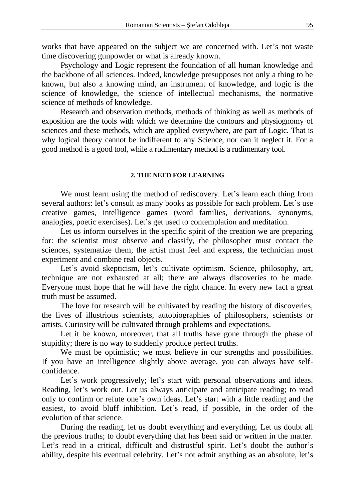works that have appeared on the subject we are concerned with. Let's not waste time discovering gunpowder or what is already known.

Psychology and Logic represent the foundation of all human knowledge and the backbone of all sciences. Indeed, knowledge presupposes not only a thing to be known, but also a knowing mind, an instrument of knowledge, and logic is the science of knowledge, the science of intellectual mechanisms, the normative science of methods of knowledge.

Research and observation methods, methods of thinking as well as methods of exposition are the tools with which we determine the contours and physiognomy of sciences and these methods, which are applied everywhere, are part of Logic. That is why logical theory cannot be indifferent to any Science, nor can it neglect it. For a good method is a good tool, while a rudimentary method is a rudimentary tool.

### **2. THE NEED FOR LEARNING**

We must learn using the method of rediscovery. Let's learn each thing from several authors: let's consult as many books as possible for each problem. Let's use creative games, intelligence games (word families, derivations, synonyms, analogies, poetic exercises). Let's get used to contemplation and meditation.

Let us inform ourselves in the specific spirit of the creation we are preparing for: the scientist must observe and classify, the philosopher must contact the sciences, systematize them, the artist must feel and express, the technician must experiment and combine real objects.

Let's avoid skepticism, let's cultivate optimism. Science, philosophy, art, technique are not exhausted at all; there are always discoveries to be made. Everyone must hope that he will have the right chance. In every new fact a great truth must be assumed.

The love for research will be cultivated by reading the history of discoveries, the lives of illustrious scientists, autobiographies of philosophers, scientists or artists. Curiosity will be cultivated through problems and expectations.

Let it be known, moreover, that all truths have gone through the phase of stupidity; there is no way to suddenly produce perfect truths.

We must be optimistic; we must believe in our strengths and possibilities. If you have an intelligence slightly above average, you can always have selfconfidence.

Let's work progressively; let's start with personal observations and ideas. Reading, let's work out. Let us always anticipate and anticipate reading; to read only to confirm or refute one's own ideas. Let's start with a little reading and the easiest, to avoid bluff inhibition. Let's read, if possible, in the order of the evolution of that science.

During the reading, let us doubt everything and everything. Let us doubt all the previous truths; to doubt everything that has been said or written in the matter. Let's read in a critical, difficult and distrustful spirit. Let's doubt the author's ability, despite his eventual celebrity. Let's not admit anything as an absolute, let's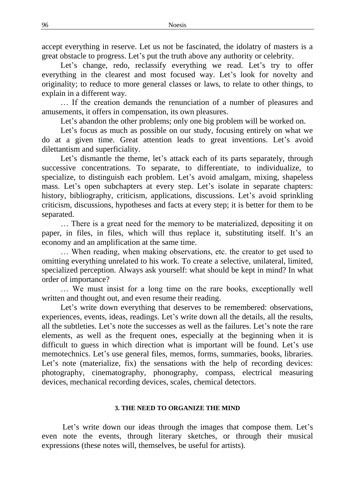accept everything in reserve. Let us not be fascinated, the idolatry of masters is a great obstacle to progress. Let's put the truth above any authority or celebrity.

Let's change, redo, reclassify everything we read. Let's try to offer everything in the clearest and most focused way. Let's look for novelty and originality; to reduce to more general classes or laws, to relate to other things, to explain in a different way.

… If the creation demands the renunciation of a number of pleasures and amusements, it offers in compensation, its own pleasures.

Let's abandon the other problems; only one big problem will be worked on.

Let's focus as much as possible on our study, focusing entirely on what we do at a given time. Great attention leads to great inventions. Let's avoid dilettantism and superficiality.

Let's dismantle the theme, let's attack each of its parts separately, through successive concentrations. To separate, to differentiate, to individualize, to specialize, to distinguish each problem. Let's avoid amalgam, mixing, shapeless mass. Let's open subchapters at every step. Let's isolate in separate chapters: history, bibliography, criticism, applications, discussions. Let's avoid sprinkling criticism, discussions, hypotheses and facts at every step; it is better for them to be separated.

… There is a great need for the memory to be materialized, depositing it on paper, in files, in files, which will thus replace it, substituting itself. It's an economy and an amplification at the same time.

… When reading, when making observations, etc. the creator to get used to omitting everything unrelated to his work. To create a selective, unilateral, limited, specialized perception. Always ask yourself: what should be kept in mind? In what order of importance?

… We must insist for a long time on the rare books, exceptionally well written and thought out, and even resume their reading.

Let's write down everything that deserves to be remembered: observations, experiences, events, ideas, readings. Let's write down all the details, all the results, all the subtleties. Let's note the successes as well as the failures. Let's note the rare elements, as well as the frequent ones, especially at the beginning when it is difficult to guess in which direction what is important will be found. Let's use memotechnics. Let's use general files, memos, forms, summaries, books, libraries. Let's note (materialize, fix) the sensations with the help of recording devices: photography, cinematography, phonography, compass, electrical measuring devices, mechanical recording devices, scales, chemical detectors.

### **3. THE NEED TO ORGANIZE THE MIND**

Let's write down our ideas through the images that compose them. Let's even note the events, through literary sketches, or through their musical expressions (these notes will, themselves, be useful for artists).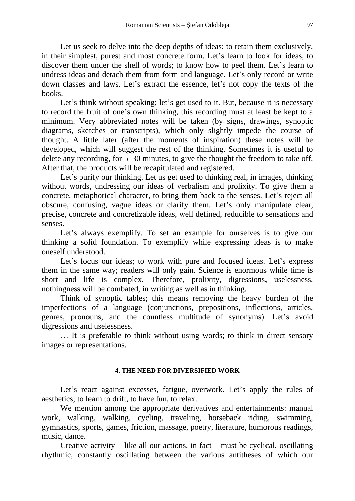Let us seek to delve into the deep depths of ideas; to retain them exclusively. in their simplest, purest and most concrete form. Let's learn to look for ideas, to discover them under the shell of words; to know how to peel them. Let's learn to undress ideas and detach them from form and language. Let's only record or write down classes and laws. Let's extract the essence, let's not copy the texts of the books.

Let's think without speaking; let's get used to it. But, because it is necessary to record the fruit of one's own thinking, this recording must at least be kept to a minimum. Very abbreviated notes will be taken (by signs, drawings, synoptic diagrams, sketches or transcripts), which only slightly impede the course of thought. A little later (after the moments of inspiration) these notes will be developed, which will suggest the rest of the thinking. Sometimes it is useful to delete any recording, for 5–30 minutes, to give the thought the freedom to take off. After that, the products will be recapitulated and registered.

Let's purify our thinking. Let us get used to thinking real, in images, thinking without words, undressing our ideas of verbalism and prolixity. To give them a concrete, metaphorical character, to bring them back to the senses. Let's reject all obscure, confusing, vague ideas or clarify them. Let's only manipulate clear, precise, concrete and concretizable ideas, well defined, reducible to sensations and senses.

Let's always exemplify. To set an example for ourselves is to give our thinking a solid foundation. To exemplify while expressing ideas is to make oneself understood.

Let's focus our ideas; to work with pure and focused ideas. Let's express them in the same way; readers will only gain. Science is enormous while time is short and life is complex. Therefore, prolixity, digressions, uselessness, nothingness will be combated, in writing as well as in thinking.

Think of synoptic tables; this means removing the heavy burden of the imperfections of a language (conjunctions, prepositions, inflections, articles, genres, pronouns, and the countless multitude of synonyms). Let's avoid digressions and uselessness.

… It is preferable to think without using words; to think in direct sensory images or representations.

# **4. THE NEED FOR DIVERSIFIED WORK**

Let's react against excesses, fatigue, overwork. Let's apply the rules of aesthetics; to learn to drift, to have fun, to relax.

We mention among the appropriate derivatives and entertainments: manual work, walking, walking, cycling, traveling, horseback riding, swimming, gymnastics, sports, games, friction, massage, poetry, literature, humorous readings, music, dance.

Creative activity – like all our actions, in fact – must be cyclical, oscillating rhythmic, constantly oscillating between the various antitheses of which our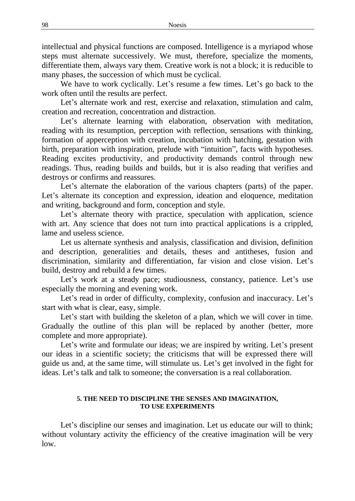intellectual and physical functions are composed. Intelligence is a myriapod whose steps must alternate successively. We must, therefore, specialize the moments, differentiate them, always vary them. Creative work is not a block; it is reducible to many phases, the succession of which must be cyclical.

We have to work cyclically. Let's resume a few times. Let's go back to the work often until the results are perfect.

Let's alternate work and rest, exercise and relaxation, stimulation and calm, creation and recreation, concentration and distraction.

Let's alternate learning with elaboration, observation with meditation, reading with its resumption, perception with reflection, sensations with thinking, formation of apperception with creation, incubation with hatching, gestation with birth, preparation with inspiration, prelude with "intuition", facts with hypotheses. Reading excites productivity, and productivity demands control through new readings. Thus, reading builds and builds, but it is also reading that verifies and destroys or confirms and reassures.

Let's alternate the elaboration of the various chapters (parts) of the paper. Let's alternate its conception and expression, ideation and eloquence, meditation and writing, background and form, conception and style.

Let's alternate theory with practice, speculation with application, science with art. Any science that does not turn into practical applications is a crippled, lame and useless science.

Let us alternate synthesis and analysis, classification and division, definition and description, generalities and details, theses and antitheses, fusion and discrimination, similarity and differentiation, far vision and close vision. Let's build, destroy and rebuild a few times.

Let's work at a steady pace; studiousness, constancy, patience. Let's use especially the morning and evening work.

Let's read in order of difficulty, complexity, confusion and inaccuracy. Let's start with what is clear, easy, simple.

Let's start with building the skeleton of a plan, which we will cover in time. Gradually the outline of this plan will be replaced by another (better, more complete and more appropriate).

Let's write and formulate our ideas; we are inspired by writing. Let's present our ideas in a scientific society; the criticisms that will be expressed there will guide us and, at the same time, will stimulate us. Let's get involved in the fight for ideas. Let's talk and talk to someone; the conversation is a real collaboration.

### **5. THE NEED TO DISCIPLINE THE SENSES AND IMAGINATION, TO USE EXPERIMENTS**

Let's discipline our senses and imagination. Let us educate our will to think; without voluntary activity the efficiency of the creative imagination will be very low.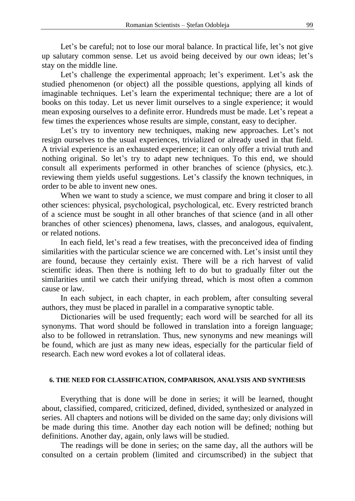Let's be careful; not to lose our moral balance. In practical life, let's not give up salutary common sense. Let us avoid being deceived by our own ideas; let's stay on the middle line.

Let's challenge the experimental approach; let's experiment. Let's ask the studied phenomenon (or object) all the possible questions, applying all kinds of imaginable techniques. Let's learn the experimental technique; there are a lot of books on this today. Let us never limit ourselves to a single experience; it would mean exposing ourselves to a definite error. Hundreds must be made. Let's repeat a few times the experiences whose results are simple, constant, easy to decipher.

Let's try to inventory new techniques, making new approaches. Let's not resign ourselves to the usual experiences, trivialized or already used in that field. A trivial experience is an exhausted experience; it can only offer a trivial truth and nothing original. So let's try to adapt new techniques. To this end, we should consult all experiments performed in other branches of science (physics, etc.). reviewing them yields useful suggestions. Let's classify the known techniques, in order to be able to invent new ones.

When we want to study a science, we must compare and bring it closer to all other sciences: physical, psychological, psychological, etc. Every restricted branch of a science must be sought in all other branches of that science (and in all other branches of other sciences) phenomena, laws, classes, and analogous, equivalent, or related notions.

In each field, let's read a few treatises, with the preconceived idea of finding similarities with the particular science we are concerned with. Let's insist until they are found, because they certainly exist. There will be a rich harvest of valid scientific ideas. Then there is nothing left to do but to gradually filter out the similarities until we catch their unifying thread, which is most often a common cause or law.

In each subject, in each chapter, in each problem, after consulting several authors, they must be placed in parallel in a comparative synoptic table.

Dictionaries will be used frequently; each word will be searched for all its synonyms. That word should be followed in translation into a foreign language; also to be followed in retranslation. Thus, new synonyms and new meanings will be found, which are just as many new ideas, especially for the particular field of research. Each new word evokes a lot of collateral ideas.

### **6. THE NEED FOR CLASSIFICATION, COMPARISON, ANALYSIS AND SYNTHESIS**

Everything that is done will be done in series; it will be learned, thought about, classified, compared, criticized, defined, divided, synthesized or analyzed in series. All chapters and notions will be divided on the same day; only divisions will be made during this time. Another day each notion will be defined; nothing but definitions. Another day, again, only laws will be studied.

The readings will be done in series; on the same day, all the authors will be consulted on a certain problem (limited and circumscribed) in the subject that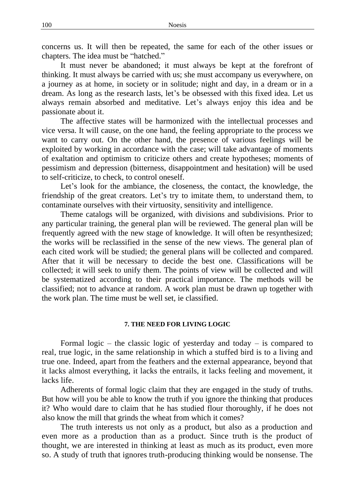concerns us. It will then be repeated, the same for each of the other issues or chapters. The idea must be "hatched."

It must never be abandoned; it must always be kept at the forefront of thinking. It must always be carried with us; she must accompany us everywhere, on a journey as at home, in society or in solitude; night and day, in a dream or in a dream. As long as the research lasts, let's be obsessed with this fixed idea. Let us always remain absorbed and meditative. Let's always enjoy this idea and be passionate about it.

The affective states will be harmonized with the intellectual processes and vice versa. It will cause, on the one hand, the feeling appropriate to the process we want to carry out. On the other hand, the presence of various feelings will be exploited by working in accordance with the case; will take advantage of moments of exaltation and optimism to criticize others and create hypotheses; moments of pessimism and depression (bitterness, disappointment and hesitation) will be used to self-criticize, to check, to control oneself.

Let's look for the ambiance, the closeness, the contact, the knowledge, the friendship of the great creators. Let's try to imitate them, to understand them, to contaminate ourselves with their virtuosity, sensitivity and intelligence.

Theme catalogs will be organized, with divisions and subdivisions. Prior to any particular training, the general plan will be reviewed. The general plan will be frequently agreed with the new stage of knowledge. It will often be resynthesized; the works will be reclassified in the sense of the new views. The general plan of each cited work will be studied; the general plans will be collected and compared. After that it will be necessary to decide the best one. Classifications will be collected; it will seek to unify them. The points of view will be collected and will be systematized according to their practical importance. The methods will be classified; not to advance at random. A work plan must be drawn up together with the work plan. The time must be well set, ie classified.

### **7. THE NEED FOR LIVING LOGIC**

Formal logic – the classic logic of yesterday and today – is compared to real, true logic, in the same relationship in which a stuffed bird is to a living and true one. Indeed, apart from the feathers and the external appearance, beyond that it lacks almost everything, it lacks the entrails, it lacks feeling and movement, it lacks life.

Adherents of formal logic claim that they are engaged in the study of truths. But how will you be able to know the truth if you ignore the thinking that produces it? Who would dare to claim that he has studied flour thoroughly, if he does not also know the mill that grinds the wheat from which it comes?

The truth interests us not only as a product, but also as a production and even more as a production than as a product. Since truth is the product of thought, we are interested in thinking at least as much as its product, even more so. A study of truth that ignores truth-producing thinking would be nonsense. The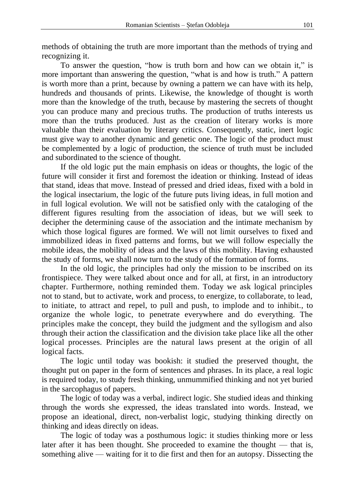methods of obtaining the truth are more important than the methods of trying and recognizing it.

To answer the question, "how is truth born and how can we obtain it," is more important than answering the question, "what is and how is truth." A pattern is worth more than a print, because by owning a pattern we can have with its help, hundreds and thousands of prints. Likewise, the knowledge of thought is worth more than the knowledge of the truth, because by mastering the secrets of thought you can produce many and precious truths. The production of truths interests us more than the truths produced. Just as the creation of literary works is more valuable than their evaluation by literary critics. Consequently, static, inert logic must give way to another dynamic and genetic one. The logic of the product must be complemented by a logic of production, the science of truth must be included and subordinated to the science of thought.

If the old logic put the main emphasis on ideas or thoughts, the logic of the future will consider it first and foremost the ideation or thinking. Instead of ideas that stand, ideas that move. Instead of pressed and dried ideas, fixed with a bold in the logical insectarium, the logic of the future puts living ideas, in full motion and in full logical evolution. We will not be satisfied only with the cataloging of the different figures resulting from the association of ideas, but we will seek to decipher the determining cause of the association and the intimate mechanism by which those logical figures are formed. We will not limit ourselves to fixed and immobilized ideas in fixed patterns and forms, but we will follow especially the mobile ideas, the mobility of ideas and the laws of this mobility. Having exhausted the study of forms, we shall now turn to the study of the formation of forms.

In the old logic, the principles had only the mission to be inscribed on its frontispiece. They were talked about once and for all, at first, in an introductory chapter. Furthermore, nothing reminded them. Today we ask logical principles not to stand, but to activate, work and process, to energize, to collaborate, to lead, to initiate, to attract and repel, to pull and push, to implode and to inhibit., to organize the whole logic, to penetrate everywhere and do everything. The principles make the concept, they build the judgment and the syllogism and also through their action the classification and the division take place like all the other logical processes. Principles are the natural laws present at the origin of all logical facts.

The logic until today was bookish: it studied the preserved thought, the thought put on paper in the form of sentences and phrases. In its place, a real logic is required today, to study fresh thinking, unmummified thinking and not yet buried in the sarcophagus of papers.

The logic of today was a verbal, indirect logic. She studied ideas and thinking through the words she expressed, the ideas translated into words. Instead, we propose an ideational, direct, non-verbalist logic, studying thinking directly on thinking and ideas directly on ideas.

The logic of today was a posthumous logic: it studies thinking more or less later after it has been thought. She proceeded to examine the thought — that is, something alive — waiting for it to die first and then for an autopsy. Dissecting the